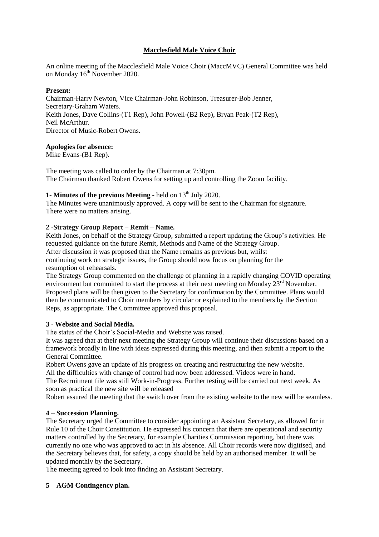## **Macclesfield Male Voice Choir**

An online meeting of the Macclesfield Male Voice Choir (MaccMVC) General Committee was held on Monday  $16<sup>th</sup>$  November 2020.

#### **Present:**

Chairman-Harry Newton, Vice Chairman-John Robinson, Treasurer-Bob Jenner, Secretary-Graham Waters. Keith Jones, Dave Collins-(T1 Rep), John Powell-(B2 Rep), Bryan Peak-(T2 Rep), Neil McArthur. Director of Music-Robert Owens.

### **Apologies for absence:**

Mike Evans-(B1 Rep).

The meeting was called to order by the Chairman at 7:30pm. The Chairman thanked Robert Owens for setting up and controlling the Zoom facility.

# **1**- **Minutes of the previous Meeting** - held on 13<sup>th</sup> July 2020.

The Minutes were unanimously approved. A copy will be sent to the Chairman for signature. There were no matters arising.

### **2** -**Strategy Group Report – Remit – Name.**

Keith Jones, on behalf of the Strategy Group, submitted a report updating the Group's activities. He requested guidance on the future Remit, Methods and Name of the Strategy Group. After discussion it was proposed that the Name remains as previous but, whilst continuing work on strategic issues, the Group should now focus on planning for the resumption of rehearsals.

The Strategy Group commented on the challenge of planning in a rapidly changing COVID operating environment but committed to start the process at their next meeting on Monday 23<sup>rd</sup> November. Proposed plans will be then given to the Secretary for confirmation by the Committee. Plans would then be communicated to Choir members by circular or explained to the members by the Section Reps, as appropriate. The Committee approved this proposal.

#### **3** - **Website and Social Media.**

The status of the Choir's Social-Media and Website was raised.

It was agreed that at their next meeting the Strategy Group will continue their discussions based on a framework broadly in line with ideas expressed during this meeting, and then submit a report to the General Committee.

Robert Owens gave an update of his progress on creating and restructuring the new website. All the difficulties with change of control had now been addressed. Videos were in hand.

The Recruitment file was still Work-in-Progress. Further testing will be carried out next week. As soon as practical the new site will be released

Robert assured the meeting that the switch over from the existing website to the new will be seamless.

#### **4** – **Succession Planning.**

The Secretary urged the Committee to consider appointing an Assistant Secretary, as allowed for in Rule 10 of the Choir Constitution. He expressed his concern that there are operational and security matters controlled by the Secretary, for example Charities Commission reporting, but there was currently no one who was approved to act in his absence. All Choir records were now digitised, and the Secretary believes that, for safety, a copy should be held by an authorised member. It will be updated monthly by the Secretary.

The meeting agreed to look into finding an Assistant Secretary.

## **5** – **AGM Contingency plan.**